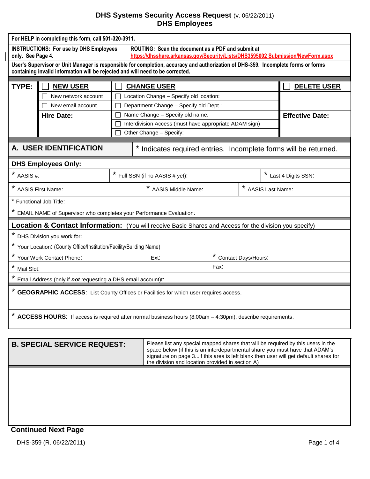## **DHS Systems Security Access Request** (v. 06/22/2011) **DHS Employees**

| For HELP in completing this form, call 501-320-3911.                                                                                                                                                                |                                               |                                          |                                                                                                                                      |                        |                     |                  |  |  |
|---------------------------------------------------------------------------------------------------------------------------------------------------------------------------------------------------------------------|-----------------------------------------------|------------------------------------------|--------------------------------------------------------------------------------------------------------------------------------------|------------------------|---------------------|------------------|--|--|
| only. See Page 4.                                                                                                                                                                                                   | <b>INSTRUCTIONS: For use by DHS Employees</b> |                                          | ROUTING: Scan the document as a PDF and submit at<br>https://dhsshare.arkansas.gov/Security/Lists/DHS3595002 Submission/NewForm.aspx |                        |                     |                  |  |  |
| User's Supervisor or Unit Manager is responsible for completion, accuracy and authorization of DHS-359. Incomplete forms or forms<br>containing invalid information will be rejected and will need to be corrected. |                                               |                                          |                                                                                                                                      |                        |                     |                  |  |  |
| TYPE:                                                                                                                                                                                                               | <b>NEW USER</b>                               | <b>DELETE USER</b><br><b>CHANGE USER</b> |                                                                                                                                      |                        |                     |                  |  |  |
|                                                                                                                                                                                                                     | New network account                           | Location Change - Specify old location:  |                                                                                                                                      |                        |                     |                  |  |  |
|                                                                                                                                                                                                                     | New email account                             | Department Change - Specify old Dept.:   |                                                                                                                                      |                        |                     |                  |  |  |
|                                                                                                                                                                                                                     | Hire Date:                                    |                                          | Name Change - Specify old name:                                                                                                      | <b>Effective Date:</b> |                     |                  |  |  |
|                                                                                                                                                                                                                     |                                               |                                          | Interdivision Access (must have appropriate ADAM sign)                                                                               |                        |                     |                  |  |  |
|                                                                                                                                                                                                                     |                                               |                                          | Other Change - Specify:                                                                                                              |                        |                     |                  |  |  |
| A. USER IDENTIFICATION<br>* Indicates required entries. Incomplete forms will be returned.                                                                                                                          |                                               |                                          |                                                                                                                                      |                        |                     |                  |  |  |
|                                                                                                                                                                                                                     | <b>DHS Employees Only:</b>                    |                                          |                                                                                                                                      |                        |                     |                  |  |  |
| $*$ AASIS #:                                                                                                                                                                                                        |                                               | * Full SSN (if no AASIS # yet):          |                                                                                                                                      |                        | Last 4 Digits SSN:  |                  |  |  |
| <b>AASIS First Name:</b>                                                                                                                                                                                            |                                               |                                          | * AASIS Middle Name:                                                                                                                 |                        |                     | AASIS Last Name: |  |  |
|                                                                                                                                                                                                                     | * Functional Job Title:                       |                                          |                                                                                                                                      |                        |                     |                  |  |  |
| EMAIL NAME of Supervisor who completes your Performance Evaluation:                                                                                                                                                 |                                               |                                          |                                                                                                                                      |                        |                     |                  |  |  |
| <b>Location &amp; Contact Information:</b> (You will receive Basic Shares and Access for the division you specify)                                                                                                  |                                               |                                          |                                                                                                                                      |                        |                     |                  |  |  |
|                                                                                                                                                                                                                     | DHS Division you work for:                    |                                          |                                                                                                                                      |                        |                     |                  |  |  |
| Your Location: (County Office/Institution/Facility/Building Name)                                                                                                                                                   |                                               |                                          |                                                                                                                                      |                        |                     |                  |  |  |
| Your Work Contact Phone:                                                                                                                                                                                            |                                               |                                          | Ext:                                                                                                                                 |                        | Contact Days/Hours: |                  |  |  |
| $\star$<br>Mail Slot:                                                                                                                                                                                               |                                               |                                          | Fax:                                                                                                                                 |                        |                     |                  |  |  |
| Email Address (only if not requesting a DHS email account)t:                                                                                                                                                        |                                               |                                          |                                                                                                                                      |                        |                     |                  |  |  |
| <b>GEOGRAPHIC ACCESS:</b> List County Offices or Facilities for which user requires access.                                                                                                                         |                                               |                                          |                                                                                                                                      |                        |                     |                  |  |  |
| * ACCESS HOURS: If access is required after normal business hours (8:00am - 4:30pm), describe requirements.                                                                                                         |                                               |                                          |                                                                                                                                      |                        |                     |                  |  |  |
|                                                                                                                                                                                                                     |                                               |                                          |                                                                                                                                      |                        |                     |                  |  |  |

| <b>B. SPECIAL SERVICE REQUEST:</b> | Please list any special mapped shares that will be required by this users in the<br>space below (if this is an interdepartmental share you must have that ADAM's<br>signature on page 3 if this area is left blank then user will get default shares for<br>the division and location provided in section A) |
|------------------------------------|--------------------------------------------------------------------------------------------------------------------------------------------------------------------------------------------------------------------------------------------------------------------------------------------------------------|
|                                    |                                                                                                                                                                                                                                                                                                              |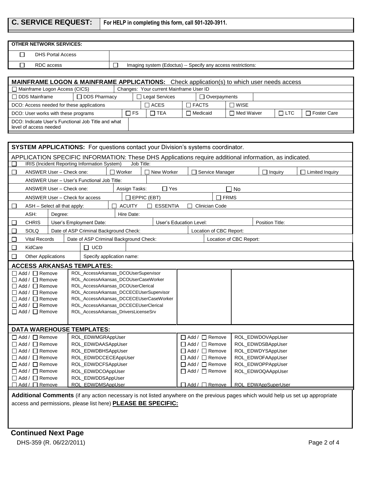**C. SERVICE REQUEST: For HELP in completing this form, call 501-320-3911.** 

| <b>OTHER NETWORK SERVICES:</b>                                                                                                                                                                    |                                                                                                        |                                                                                    |                         |                                                          |                                        |                             |                        |
|---------------------------------------------------------------------------------------------------------------------------------------------------------------------------------------------------|--------------------------------------------------------------------------------------------------------|------------------------------------------------------------------------------------|-------------------------|----------------------------------------------------------|----------------------------------------|-----------------------------|------------------------|
| П<br><b>DHS Portal Access</b>                                                                                                                                                                     |                                                                                                        |                                                                                    |                         |                                                          |                                        |                             |                        |
|                                                                                                                                                                                                   |                                                                                                        |                                                                                    |                         |                                                          |                                        |                             |                        |
|                                                                                                                                                                                                   | г<br>RDC access<br>П<br>Imaging system (Edoctus) -- Specify any access restrictions:                   |                                                                                    |                         |                                                          |                                        |                             |                        |
|                                                                                                                                                                                                   | <b>MAINFRAME LOGON &amp; MAINFRAME APPLICATIONS:</b> Check application(s) to which user needs access   |                                                                                    |                         |                                                          |                                        |                             |                        |
| Mainframe Logon Access (CICS)                                                                                                                                                                     |                                                                                                        | Changes: Your current Mainframe User ID                                            |                         |                                                          |                                        |                             |                        |
| $\Box$ DDS Mainframe                                                                                                                                                                              | $\Box$ DDS Pharmacy                                                                                    | $\Box$ Legal Services                                                              |                         | $\Box$ Overpayments                                      |                                        |                             |                        |
| $\Box$ ACES<br>$\Box$ FACTS<br>$\Box$ WISE<br>DCO: Access needed for these applications                                                                                                           |                                                                                                        |                                                                                    |                         |                                                          |                                        |                             |                        |
| $\Box$ TEA<br>$\Box$ FS<br>DCO: User works with these programs                                                                                                                                    |                                                                                                        |                                                                                    |                         | $\Box$ Medicaid                                          | $\Box$ Med Waiver                      | $\Box$ LTC<br>□ Foster Care |                        |
|                                                                                                                                                                                                   | DCO: Indicate User's Functional Job Title and what<br>level of access needed                           |                                                                                    |                         |                                                          |                                        |                             |                        |
|                                                                                                                                                                                                   |                                                                                                        |                                                                                    |                         |                                                          |                                        |                             |                        |
|                                                                                                                                                                                                   | <b>SYSTEM APPLICATIONS:</b> For questions contact your Division's systems coordinator.                 |                                                                                    |                         |                                                          |                                        |                             |                        |
|                                                                                                                                                                                                   | APPLICATION SPECIFIC INFORMATION: These DHS Applications require additional information, as indicated. |                                                                                    |                         |                                                          |                                        |                             |                        |
|                                                                                                                                                                                                   | IRIS (Incident Reporting Information System)                                                           | Job Title:                                                                         |                         |                                                          |                                        |                             |                        |
| $\sim$                                                                                                                                                                                            | ANSWER User - Check one:                                                                               | $\Box$ Worker                                                                      | □ New Worker            | Service Manager                                          | $\Box$ Inquiry                         |                             | <b>Limited Inquiry</b> |
|                                                                                                                                                                                                   | ANSWER User - User's Functional Job Title:                                                             |                                                                                    |                         |                                                          |                                        |                             |                        |
| ANSWER User - Check one:                                                                                                                                                                          |                                                                                                        | Assign Tasks:                                                                      | $\Box$ Yes              |                                                          | $\Box$ No                              |                             |                        |
|                                                                                                                                                                                                   | ANSWER User - Check for access                                                                         | $\Box$ EPPIC (EBT)                                                                 |                         | $\Box$ FRMS                                              |                                        |                             |                        |
| ASH - Select all that apply:<br>$\sqcup$                                                                                                                                                          |                                                                                                        | $\Box$ ACUITY                                                                      | $\Box$ ESSENTIA         | Clinician Code                                           |                                        |                             |                        |
| ASH:                                                                                                                                                                                              | Degree:                                                                                                | Hire Date:                                                                         |                         |                                                          |                                        |                             |                        |
| <b>CHRIS</b>                                                                                                                                                                                      | User's Employment Date:                                                                                |                                                                                    | User's Education Level: |                                                          | Position Title:                        |                             |                        |
| SOLQ                                                                                                                                                                                              | Date of ASP Criminal Background Check:                                                                 |                                                                                    |                         | Location of CBC Report:                                  |                                        |                             |                        |
| <b>Vital Records</b><br>$\sim$                                                                                                                                                                    |                                                                                                        | Date of ASP Criminal Background Check:                                             |                         |                                                          | Location of CBC Report:                |                             |                        |
| KidCare<br>$\Box$                                                                                                                                                                                 | $\Box$ UCD                                                                                             |                                                                                    |                         |                                                          |                                        |                             |                        |
| $\Box$<br><b>Other Applications</b>                                                                                                                                                               |                                                                                                        | Specify application name:                                                          |                         |                                                          |                                        |                             |                        |
|                                                                                                                                                                                                   | <b>ACCESS ARKANSAS TEMPLATES:</b>                                                                      |                                                                                    |                         |                                                          |                                        |                             |                        |
| $\Box$ Add / $\Box$ Remove                                                                                                                                                                        |                                                                                                        | ROL_AccessArkansas_DCOUserSupervisor                                               |                         |                                                          |                                        |                             |                        |
| □ Add / □ Remove                                                                                                                                                                                  |                                                                                                        | ROL AccessArkansas DCOUserCaseWorker                                               |                         |                                                          |                                        |                             |                        |
| $\Box$ Add / $\Box$ Remove                                                                                                                                                                        |                                                                                                        | ROL_AccessArkansas_DCOUserClerical                                                 |                         |                                                          |                                        |                             |                        |
| $\Box$ Add / $\Box$ Remove<br>$\Box$ Add / $\Box$ Remove                                                                                                                                          |                                                                                                        | ROL_AccessArkansas_DCCECEUserSupervisor<br>ROL_AccessArkansas_DCCECEUserCaseWorker |                         |                                                          |                                        |                             |                        |
| □ Add / □ Remove                                                                                                                                                                                  |                                                                                                        | ROL_AccessArkansas_DCCECEUserClerical                                              |                         |                                                          |                                        |                             |                        |
| $\Box$ Add / $\Box$ Remove<br>ROL_AccessArkansas_DriversLicenseSrv                                                                                                                                |                                                                                                        |                                                                                    |                         |                                                          |                                        |                             |                        |
|                                                                                                                                                                                                   |                                                                                                        |                                                                                    |                         |                                                          |                                        |                             |                        |
|                                                                                                                                                                                                   | <b>DATA WAREHOUSE TEMPLATES:</b>                                                                       |                                                                                    |                         |                                                          |                                        |                             |                        |
| $\Box$ Add / $\Box$ Remove<br>ROL_EDWMGRAppUser                                                                                                                                                   |                                                                                                        |                                                                                    |                         | □ Add / □ Remove                                         | ROL_EDWDOVAppUser                      |                             |                        |
| $\Box$ Add / $\Box$ Remove                                                                                                                                                                        |                                                                                                        | ROL_EDWDAASAppUser                                                                 |                         | $\Box$ Add / $\Box$ Remove                               |                                        | ROL_EDWDSBAppUser           |                        |
| $\Box$ Add / $\Box$ Remove<br>ROL_EDWDBHSAppUser                                                                                                                                                  |                                                                                                        |                                                                                    |                         | $\Box$ Add / $\Box$ Remove                               | ROL_EDWDYSAppUser                      |                             |                        |
| $\Box$ Add / $\Box$ Remove<br>ROL_EDWDCCECEAppUser                                                                                                                                                |                                                                                                        |                                                                                    |                         | $\Box$ Add / $\Box$ Remove<br>$\Box$ Add / $\Box$ Remove | ROL_EDWOFAAppUser<br>ROL_EDWOPPAppUser |                             |                        |
| $\Box$ Add / $\Box$ Remove<br>ROL_EDWDCFSAppUser<br>$\Box$ Add / $\Box$ Remove<br>ROL_EDWDCOAppUser                                                                                               |                                                                                                        |                                                                                    |                         | □ Add / □ Remove                                         | ROL_EDWOQAAppUser                      |                             |                        |
| $\Box$ Add / $\Box$ Remove<br>ROL_EDWDDSAppUser                                                                                                                                                   |                                                                                                        |                                                                                    |                         |                                                          |                                        |                             |                        |
| $\Box$ Add / $\Box$ Remove                                                                                                                                                                        | ROL EDWDMSAppUser                                                                                      |                                                                                    |                         | □ Add / □ Remove                                         | ROL EDWAppSuperUser                    |                             |                        |
|                                                                                                                                                                                                   |                                                                                                        |                                                                                    |                         |                                                          |                                        |                             |                        |
| Additional Comments (if any action necessary is not listed anywhere on the previous pages which would help us set up appropriate<br>access and permissions, please list here) PLEASE BE SPECIFIC: |                                                                                                        |                                                                                    |                         |                                                          |                                        |                             |                        |
|                                                                                                                                                                                                   |                                                                                                        |                                                                                    |                         |                                                          |                                        |                             |                        |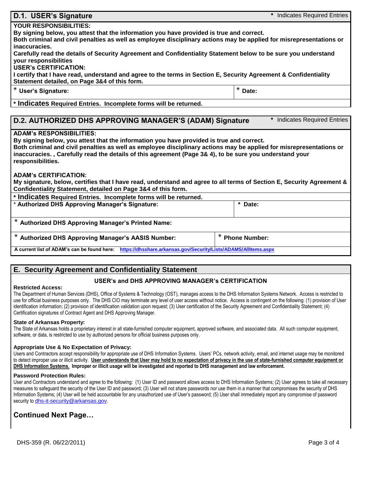| D.1. USER's Signature                                                                                                                                                                                                                                                                                                                                                                                                                                                                                                                                                                                                                   | * Indicates Required Entries |  |  |  |  |  |
|-----------------------------------------------------------------------------------------------------------------------------------------------------------------------------------------------------------------------------------------------------------------------------------------------------------------------------------------------------------------------------------------------------------------------------------------------------------------------------------------------------------------------------------------------------------------------------------------------------------------------------------------|------------------------------|--|--|--|--|--|
| <b>YOUR RESPONSIBILITIES:</b><br>By signing below, you attest that the information you have provided is true and correct.<br>Both criminal and civil penalties as well as employee disciplinary actions may be applied for misrepresentations or                                                                                                                                                                                                                                                                                                                                                                                        |                              |  |  |  |  |  |
| inaccuracies.<br>Carefully read the details of Security Agreement and Confidentiality Statement below to be sure you understand<br>your responsibilities<br><b>USER's CERTIFICATION:</b>                                                                                                                                                                                                                                                                                                                                                                                                                                                |                              |  |  |  |  |  |
| I certify that I have read, understand and agree to the terms in Section E, Security Agreement & Confidentiality<br>Statement detailed, on Page 3&4 of this form.                                                                                                                                                                                                                                                                                                                                                                                                                                                                       |                              |  |  |  |  |  |
| * User's Signature:                                                                                                                                                                                                                                                                                                                                                                                                                                                                                                                                                                                                                     | *<br>Date:                   |  |  |  |  |  |
| * Indicates Required Entries. Incomplete forms will be returned.                                                                                                                                                                                                                                                                                                                                                                                                                                                                                                                                                                        |                              |  |  |  |  |  |
| * Indicates Required Entries<br>D.2. AUTHORIZED DHS APPROVING MANAGER'S (ADAM) Signature<br><b>ADAM's RESPONSIBILITIES:</b><br>By signing below, you attest that the information you have provided is true and correct.<br>Both criminal and civil penalties as well as employee disciplinary actions may be applied for misrepresentations or<br>inaccuracies., Carefully read the details of this agreement (Page 3& 4), to be sure you understand your<br>responsibilities.<br><b>ADAM's CERTIFICATION:</b><br>My signature, below, certifies that I have read, understand and agree to all terms of Section E, Security Agreement & |                              |  |  |  |  |  |
| Confidentiality Statement, detailed on Page 3&4 of this form.<br>* Indicates Required Entries. Incomplete forms will be returned.                                                                                                                                                                                                                                                                                                                                                                                                                                                                                                       |                              |  |  |  |  |  |
| * Authorized DHS Approving Manager's Signature:                                                                                                                                                                                                                                                                                                                                                                                                                                                                                                                                                                                         | * Date:                      |  |  |  |  |  |
| * Authorized DHS Approving Manager's Printed Name:                                                                                                                                                                                                                                                                                                                                                                                                                                                                                                                                                                                      |                              |  |  |  |  |  |
| Authorized DHS Approving Manager's AASIS Number:                                                                                                                                                                                                                                                                                                                                                                                                                                                                                                                                                                                        | <b>Phone Number:</b>         |  |  |  |  |  |

**A current list of ADAM's can be found here: <https://dhsshare.arkansas.gov/Security/Lists/ADAMS/AllItems.aspx>**

## **E. Security Agreement and Confidentiality Statement**

## **USER's and DHS APPROVING MANAGER's CERTIFICATION**

#### **Restricted Access:**

The Department of Human Services (DHS), Office of Systems & Technology (OST), manages access to the DHS Information Systems Network. Access is restricted to use for official business purposes only. The DHS CIO may terminate any level of user access without notice. Access is contingent on the following: (1) provision of User identification information; (2) provision of identification validation upon request; (3) User certification of the Security Agreement and Confidentiality Statement; (4) Certification signatures of Contract Agent and DHS Approving Manager.

### **State of Arkansas Property:**

The State of Arkansas holds a proprietary interest in all state-furnished computer equipment, approved software, and associated data. All such computer equipment, software, or data, is restricted to use by authorized persons for official business purposes only.

### **Appropriate Use & No Expectation of Privacy:**

Users and Contractors accept responsibility for appropriate use of DHS Information Systems. Users' PCs, network activity, email, and internet usage may be monitored to detect improper use or illicit activity. **User understands that User may hold to no expectation of privacy in the use of state-furnished computer equipment or DHS Information Systems. Improper or illicit usage will be investigated and reported to DHS management and law enforcement.**

### **Password Protection Rules:**

User and Contractors understand and agree to the following: (1) User ID and password allows access to DHS Information Systems; (2) User agrees to take all necessary measures to safeguard the security of the User ID and password; (3) User will not share passwords nor use them in a manner that compromises the security of DHS Information Systems; (4) User will be held accountable for any unauthorized use of User's password; (5) User shall immediately report any compromise of password security to [dhs-it-security@arkansas.gov](mailto:dhs-it-security@arkansas.gov).

# **Continued Next Page…**